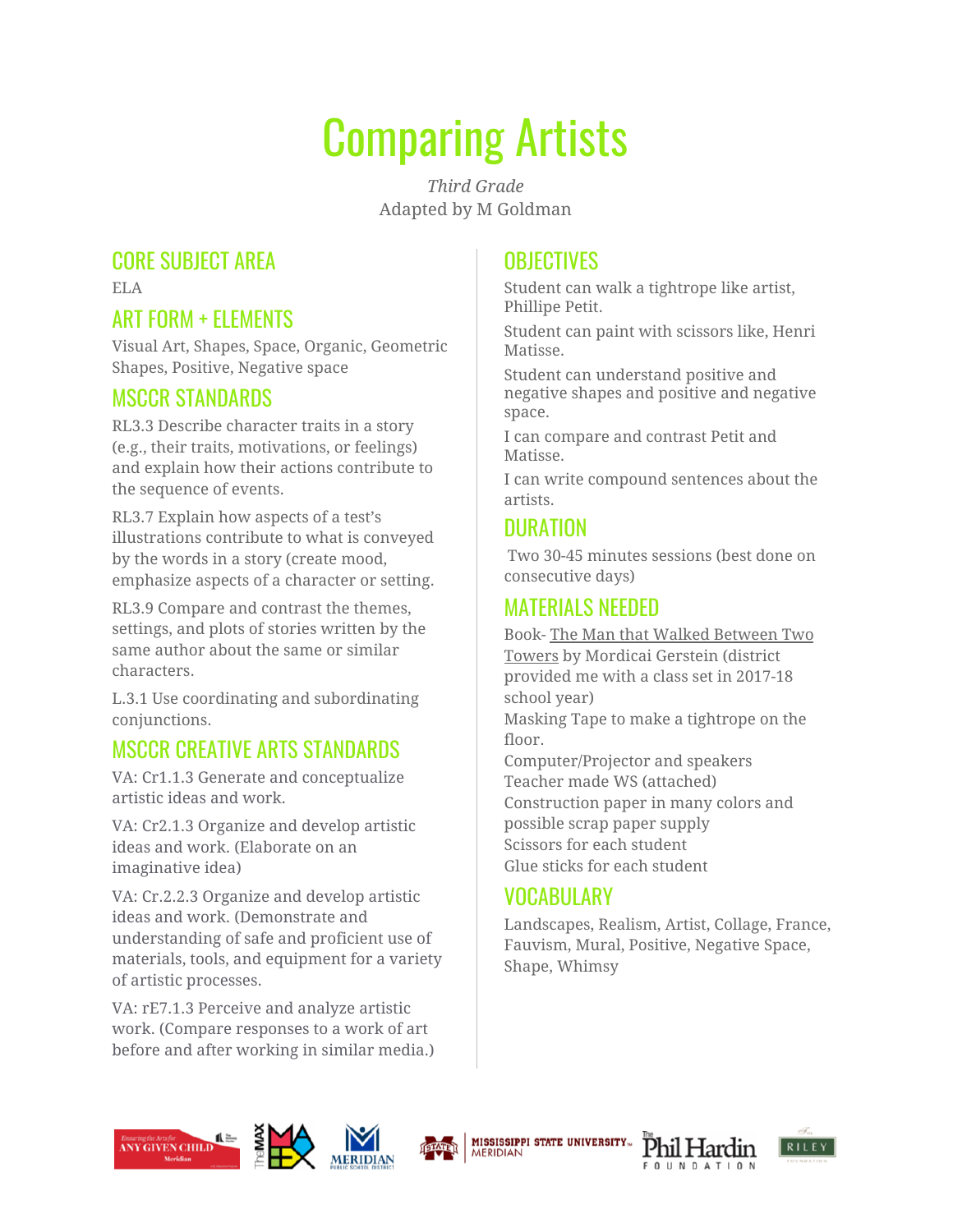# Comparing Artists

*Third Grade* Adapted by M Goldman

#### CORE SUBJECT AREA

ELA

# ART FORM + ELEMENTS

Visual Art, Shapes, Space, Organic, Geometric Shapes, Positive, Negative space

#### MSCCR STANDARDS

RL3.3 Describe character traits in a story (e.g., their traits, motivations, or feelings) and explain how their actions contribute to the sequence of events.

RL3.7 Explain how aspects of a test's illustrations contribute to what is conveyed by the words in a story (create mood, emphasize aspects of a character or setting.

RL3.9 Compare and contrast the themes, settings, and plots of stories written by the same author about the same or similar characters.

L.3.1 Use coordinating and subordinating conjunctions.

# MSCCR CREATIVE ARTS STANDARDS

VA: Cr1.1.3 Generate and conceptualize artistic ideas and work.

VA: Cr2.1.3 Organize and develop artistic ideas and work. (Elaborate on an imaginative idea)

VA: Cr.2.2.3 Organize and develop artistic ideas and work. (Demonstrate and understanding of safe and proficient use of materials, tools, and equipment for a variety of artistic processes.

VA: rE7.1.3 Perceive and analyze artistic work. (Compare responses to a work of art before and after working in similar media.)

# **OBJECTIVES**

Student can walk a tightrope like artist, Phillipe Petit.

Student can paint with scissors like, Henri Matisse.

Student can understand positive and negative shapes and positive and negative space.

I can compare and contrast Petit and Matisse.

I can write compound sentences about the artists.

#### DURATION

Two 30-45 minutes sessions (best done on consecutive days)

## MATERIALS NEEDED

Book- The Man that Walked Between Two Towers by Mordicai Gerstein (district provided me with a class set in 2017-18 school year)

Masking Tape to make a tightrope on the floor.

Computer/Projector and speakers Teacher made WS (attached) Construction paper in many colors and possible scrap paper supply Scissors for each student Glue sticks for each student

# VOCABULARY

Landscapes, Realism, Artist, Collage, France, Fauvism, Mural, Positive, Negative Space, Shape, Whimsy











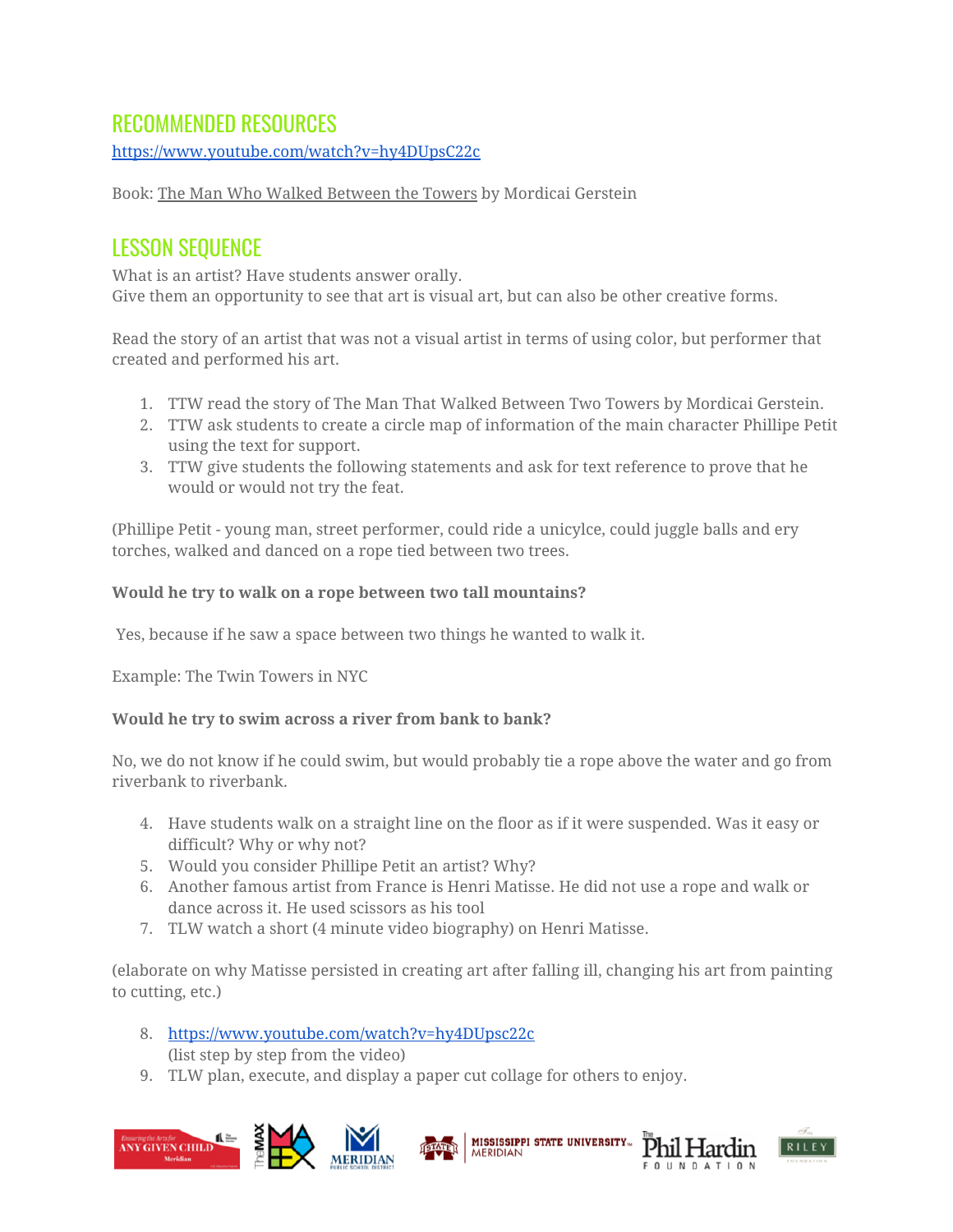#### RECOMMENDED RESOURCES

<https://www.youtube.com/watch?v=hy4DUpsC22c>

Book: The Man Who Walked Between the Towers by Mordicai Gerstein

#### LESSON SEQUENCE

What is an artist? Have students answer orally. Give them an opportunity to see that art is visual art, but can also be other creative forms.

Read the story of an artist that was not a visual artist in terms of using color, but performer that created and performed his art.

- 1. TTW read the story of The Man That Walked Between Two Towers by Mordicai Gerstein.
- 2. TTW ask students to create a circle map of information of the main character Phillipe Petit using the text for support.
- 3. TTW give students the following statements and ask for text reference to prove that he would or would not try the feat.

(Phillipe Petit - young man, street performer, could ride a unicylce, could juggle balls and ery torches, walked and danced on a rope tied between two trees.

#### **Would he try to walk on a rope between two tall mountains?**

Yes, because if he saw a space between two things he wanted to walk it.

Example: The Twin Towers in NYC

#### **Would he try to swim across a river from bank to bank?**

No, we do not know if he could swim, but would probably tie a rope above the water and go from riverbank to riverbank.

- 4. Have students walk on a straight line on the floor as if it were suspended. Was it easy or difficult? Why or why not?
- 5. Would you consider Phillipe Petit an artist? Why?
- 6. Another famous artist from France is Henri Matisse. He did not use a rope and walk or dance across it. He used scissors as his tool
- 7. TLW watch a short (4 minute video biography) on Henri Matisse.

(elaborate on why Matisse persisted in creating art after falling ill, changing his art from painting to cutting, etc.)

- 8. <https://www.youtube.com/watch?v=hy4DUpsc22c> (list step by step from the video)
- 9. TLW plan, execute, and display a paper cut collage for others to enjoy.